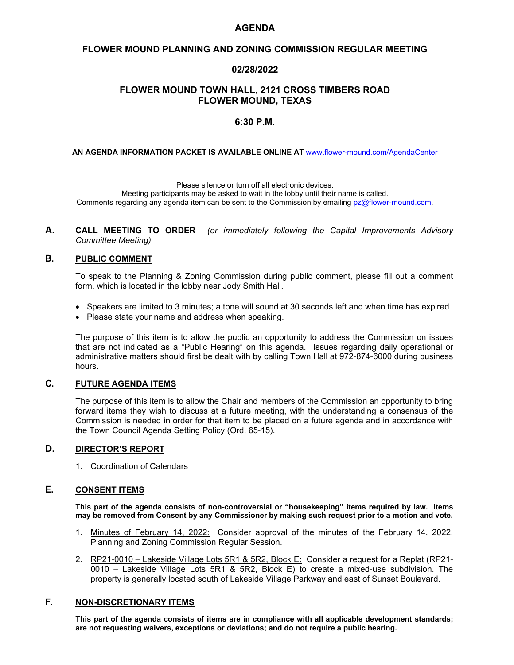# **AGENDA**

## **FLOWER MOUND PLANNING AND ZONING COMMISSION REGULAR MEETING**

## **02/28/2022**

# **FLOWER MOUND TOWN HALL, 2121 CROSS TIMBERS ROAD FLOWER MOUND, TEXAS**

### **6:30 P.M.**

**AN AGENDA INFORMATION PACKET IS AVAILABLE ONLINE AT** [www.flower-mound.com/AgendaCenter](http://www.flower-mound.com/AgendaCenter) . . . . . . . . . . . . . . .

Please silence or turn off all electronic devices. Meeting participants may be asked to wait in the lobby until their name is called. Comments regarding any agenda item can be sent to the Commission by emailing [pz@flower-mound.com.](mailto:pz@flower-mound.com)

**A. CALL MEETING TO ORDER** *(or immediately following the Capital Improvements Advisory Committee Meeting)*

## **B. PUBLIC COMMENT**

To speak to the Planning & Zoning Commission during public comment, please fill out a comment form, which is located in the lobby near Jody Smith Hall.

- Speakers are limited to 3 minutes; a tone will sound at 30 seconds left and when time has expired.
- Please state your name and address when speaking.

The purpose of this item is to allow the public an opportunity to address the Commission on issues that are not indicated as a "Public Hearing" on this agenda. Issues regarding daily operational or administrative matters should first be dealt with by calling Town Hall at 972-874-6000 during business hours.

### **C. FUTURE AGENDA ITEMS**

The purpose of this item is to allow the Chair and members of the Commission an opportunity to bring forward items they wish to discuss at a future meeting, with the understanding a consensus of the Commission is needed in order for that item to be placed on a future agenda and in accordance with the Town Council Agenda Setting Policy (Ord. 65-15).

### **D. DIRECTOR'S REPORT**

1. Coordination of Calendars

# **E. CONSENT ITEMS**

**This part of the agenda consists of non-controversial or "housekeeping" items required by law. Items may be removed from Consent by any Commissioner by making such request prior to a motion and vote.**

- 1. Minutes of February 14, 2022: Consider approval of the minutes of the February 14, 2022, Planning and Zoning Commission Regular Session.
- 2. RP21-0010 Lakeside Village Lots 5R1 & 5R2, Block E: Consider a request for a Replat (RP21-0010 – Lakeside Village Lots 5R1 & 5R2, Block E) to create a mixed-use subdivision. The property is generally located south of Lakeside Village Parkway and east of Sunset Boulevard.

# **F. NON-DISCRETIONARY ITEMS**

**This part of the agenda consists of items are in compliance with all applicable development standards; are not requesting waivers, exceptions or deviations; and do not require a public hearing.**